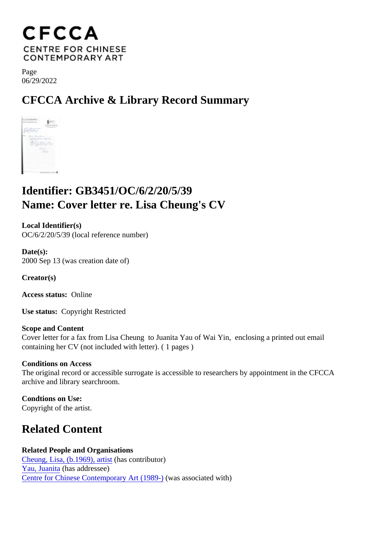Page 06/29/2022

CFCCA Archive & Library Record Summary

## Identifier: GB3451/OC/6/2/20/5/39 Name: Cover letter re. Lisa Cheung's CV

Local Identifier(s) OC/6/2/20/5/39 (local reference number)

Date(s): 2000 Sep 13 (was creation date of)

Creator(s)

Access status: Online

Use status: Copyright Restricted

Scope and Content Cover letter for a fax from Lisa Cheung to Juanita Yau of Wai Yin, enclosing a printed out email containing her CV (not included with letter). ( 1 pages )

Conditions on Access The original record or accessible surrogate is accessible to researchers by appointment in the CFCCA archive and library searchroom.

Condtions on Use: Copyright of the artist.

## Related Content

Related People and Organisations [Cheung, Lisa, \(b.1969\), art](/index.php/Detail/entities/106)istias contributor) [Yau, Juanit](/index.php/Detail/entities/3008)a has addressee) [Centre for Chinese Contemporary Art \(198](/index.php/Detail/entities/2)9was associated with)